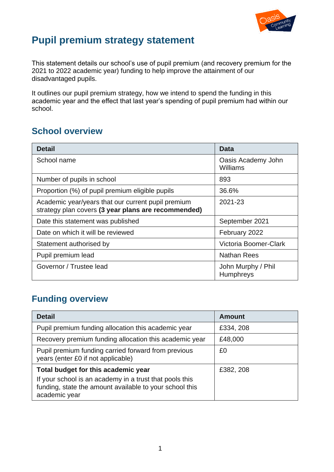

# **Pupil premium strategy statement**

This statement details our school's use of pupil premium (and recovery premium for the 2021 to 2022 academic year) funding to help improve the attainment of our disadvantaged pupils.

It outlines our pupil premium strategy, how we intend to spend the funding in this academic year and the effect that last year's spending of pupil premium had within our school.

## **School overview**

| <b>Detail</b>                                                                                             | Data                                   |
|-----------------------------------------------------------------------------------------------------------|----------------------------------------|
| School name                                                                                               | Oasis Academy John<br>Williams         |
| Number of pupils in school                                                                                | 893                                    |
| Proportion (%) of pupil premium eligible pupils                                                           | 36.6%                                  |
| Academic year/years that our current pupil premium<br>strategy plan covers (3 year plans are recommended) | 2021-23                                |
| Date this statement was published                                                                         | September 2021                         |
| Date on which it will be reviewed                                                                         | February 2022                          |
| Statement authorised by                                                                                   | Victoria Boomer-Clark                  |
| Pupil premium lead                                                                                        | Nathan Rees                            |
| Governor / Trustee lead                                                                                   | John Murphy / Phil<br><b>Humphreys</b> |

## **Funding overview**

| <b>Detail</b>                                                                                                                       | <b>Amount</b> |
|-------------------------------------------------------------------------------------------------------------------------------------|---------------|
| Pupil premium funding allocation this academic year                                                                                 | £334, 208     |
| Recovery premium funding allocation this academic year                                                                              | £48,000       |
| Pupil premium funding carried forward from previous<br>years (enter £0 if not applicable)                                           | £0            |
| Total budget for this academic year                                                                                                 | £382, 208     |
| If your school is an academy in a trust that pools this<br>funding, state the amount available to your school this<br>academic year |               |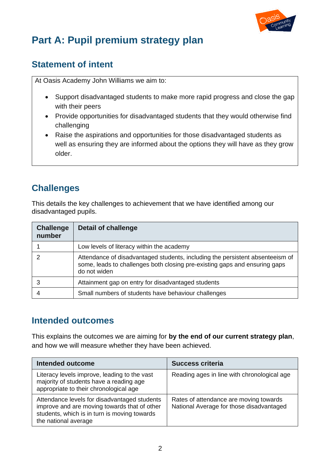

# **Part A: Pupil premium strategy plan**

### **Statement of intent**

At Oasis Academy John Williams we aim to:

- Support disadvantaged students to make more rapid progress and close the gap with their peers
- Provide opportunities for disadvantaged students that they would otherwise find challenging
- Raise the aspirations and opportunities for those disadvantaged students as well as ensuring they are informed about the options they will have as they grow older.

### **Challenges**

This details the key challenges to achievement that we have identified among our disadvantaged pupils.

| <b>Challenge</b><br>number | <b>Detail of challenge</b>                                                                                                                                                  |
|----------------------------|-----------------------------------------------------------------------------------------------------------------------------------------------------------------------------|
|                            | Low levels of literacy within the academy                                                                                                                                   |
|                            | Attendance of disadvantaged students, including the persistent absenteeism of<br>some, leads to challenges both closing pre-existing gaps and ensuring gaps<br>do not widen |
|                            | Attainment gap on entry for disadvantaged students                                                                                                                          |
|                            | Small numbers of students have behaviour challenges                                                                                                                         |

### **Intended outcomes**

This explains the outcomes we are aiming for **by the end of our current strategy plan**, and how we will measure whether they have been achieved.

| <b>Intended outcome</b>                                                                                                                                              | <b>Success criteria</b>                                                            |
|----------------------------------------------------------------------------------------------------------------------------------------------------------------------|------------------------------------------------------------------------------------|
| Literacy levels improve, leading to the vast<br>majority of students have a reading age<br>appropriate to their chronological age                                    | Reading ages in line with chronological age                                        |
| Attendance levels for disadvantaged students<br>improve and are moving towards that of other<br>students, which is in turn is moving towards<br>the national average | Rates of attendance are moving towards<br>National Average for those disadvantaged |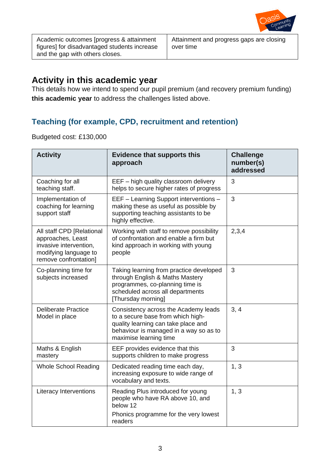

Academic outcomes [progress & attainment figures] for disadvantaged students increase and the gap with others closes.

Attainment and progress gaps are closing over time

### **Activity in this academic year**

This details how we intend to spend our pupil premium (and recovery premium funding) **this academic year** to address the challenges listed above.

#### **Teaching (for example, CPD, recruitment and retention)**

Budgeted cost: £130,000

| <b>Activity</b>                                                                                                            | <b>Evidence that supports this</b><br>approach                                                                                                                                       | <b>Challenge</b><br>number(s)<br>addressed |
|----------------------------------------------------------------------------------------------------------------------------|--------------------------------------------------------------------------------------------------------------------------------------------------------------------------------------|--------------------------------------------|
| Coaching for all<br>teaching staff.                                                                                        | EEF - high quality classroom delivery<br>helps to secure higher rates of progress                                                                                                    | 3                                          |
| Implementation of<br>coaching for learning<br>support staff                                                                | EEF - Learning Support interventions -<br>making these as useful as possible by<br>supporting teaching assistants to be<br>highly effective.                                         | 3                                          |
| All staff CPD [Relational<br>approaches, Least<br>invasive intervention,<br>modifying language to<br>remove confrontation] | Working with staff to remove possibility<br>of confrontation and enable a firm but<br>kind approach in working with young<br>people                                                  | 2,3,4                                      |
| Co-planning time for<br>subjects increased                                                                                 | Taking learning from practice developed<br>through English & Maths Mastery<br>programmes, co-planning time is<br>scheduled across all departments<br>[Thursday morning]              | 3                                          |
| <b>Deliberate Practice</b><br>Model in place                                                                               | Consistency across the Academy leads<br>to a secure base from which high-<br>quality learning can take place and<br>behaviour is managed in a way so as to<br>maximise learning time | 3, 4                                       |
| Maths & English<br>mastery                                                                                                 | EEF provides evidence that this<br>supports children to make progress                                                                                                                | 3                                          |
| <b>Whole School Reading</b>                                                                                                | Dedicated reading time each day,<br>increasing exposure to wide range of<br>vocabulary and texts.                                                                                    | 1, 3                                       |
| Literacy Interventions                                                                                                     | Reading Plus introduced for young<br>people who have RA above 10, and<br>below 12<br>Phonics programme for the very lowest<br>readers                                                | 1, 3                                       |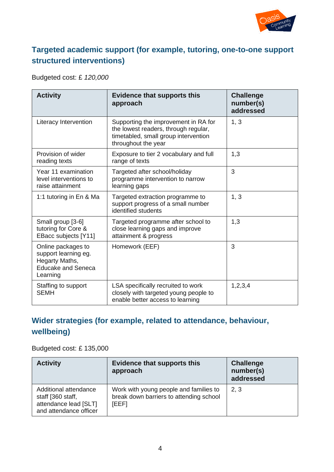

#### **Targeted academic support (for example, tutoring, one-to-one support structured interventions)**

#### Budgeted cost: £ *120,000*

| <b>Activity</b>                                                                                       | <b>Evidence that supports this</b><br>approach                                                                                              | <b>Challenge</b><br>number(s)<br>addressed |
|-------------------------------------------------------------------------------------------------------|---------------------------------------------------------------------------------------------------------------------------------------------|--------------------------------------------|
| Literacy Intervention                                                                                 | Supporting the improvement in RA for<br>the lowest readers, through regular,<br>timetabled, small group intervention<br>throughout the year | 1, 3                                       |
| Provision of wider<br>reading texts                                                                   | Exposure to tier 2 vocabulary and full<br>range of texts                                                                                    | 1,3                                        |
| Year 11 examination<br>level interventions to<br>raise attainment                                     | Targeted after school/holiday<br>programme intervention to narrow<br>learning gaps                                                          | 3                                          |
| 1:1 tutoring in En & Ma                                                                               | Targeted extraction programme to<br>support progress of a small number<br>identified students                                               | 1, 3                                       |
| Small group [3-6]<br>tutoring for Core &<br>EBacc subjects [Y11]                                      | Targeted programme after school to<br>close learning gaps and improve<br>attainment & progress                                              | 1,3                                        |
| Online packages to<br>support learning eg.<br>Hegarty Maths,<br><b>Educake and Seneca</b><br>Learning | Homework (EEF)                                                                                                                              | 3                                          |
| Staffing to support<br><b>SEMH</b>                                                                    | LSA specifically recruited to work<br>closely with targeted young people to<br>enable better access to learning                             | 1,2,3,4                                    |

### **Wider strategies (for example, related to attendance, behaviour, wellbeing)**

#### Budgeted cost: £ 135,000

| <b>Activity</b>                                                                               | <b>Evidence that supports this</b><br>approach                                             | <b>Challenge</b><br>number(s)<br>addressed |
|-----------------------------------------------------------------------------------------------|--------------------------------------------------------------------------------------------|--------------------------------------------|
| Additional attendance<br>staff [360 staff,<br>attendance lead [SLT]<br>and attendance officer | Work with young people and families to<br>break down barriers to attending school<br>[EEF] | 2, 3                                       |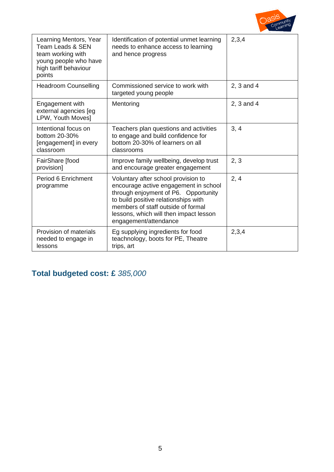

| Learning Mentors, Year<br><b>Team Leads &amp; SEN</b><br>team working with<br>young people who have<br>high tariff behaviour<br>points | Identification of potential unmet learning<br>needs to enhance access to learning<br>and hence progress                                                                                                                                                               | 2,3,4      |
|----------------------------------------------------------------------------------------------------------------------------------------|-----------------------------------------------------------------------------------------------------------------------------------------------------------------------------------------------------------------------------------------------------------------------|------------|
| <b>Headroom Counselling</b>                                                                                                            | Commissioned service to work with<br>targeted young people                                                                                                                                                                                                            | 2, 3 and 4 |
| Engagement with<br>external agencies [eg<br>LPW, Youth Moves]                                                                          | Mentoring                                                                                                                                                                                                                                                             | 2, 3 and 4 |
| Intentional focus on<br>bottom 20-30%<br>[engagement] in every<br>classroom                                                            | Teachers plan questions and activities<br>to engage and build confidence for<br>bottom 20-30% of learners on all<br>classrooms                                                                                                                                        | 3, 4       |
| FairShare [food<br>provision]                                                                                                          | Improve family wellbeing, develop trust<br>and encourage greater engagement                                                                                                                                                                                           | 2, 3       |
| Period 6 Enrichment<br>programme                                                                                                       | Voluntary after school provision to<br>encourage active engagement in school<br>through enjoyment of P6. Opportunity<br>to build positive relationships with<br>members of staff outside of formal<br>lessons, which will then impact lesson<br>engagement/attendance | 2, 4       |
| Provision of materials<br>needed to engage in<br>lessons                                                                               | Eg supplying ingredients for food<br>teachnology, boots for PE, Theatre<br>trips, art                                                                                                                                                                                 | 2,3,4      |

# **Total budgeted cost: £** *385,000*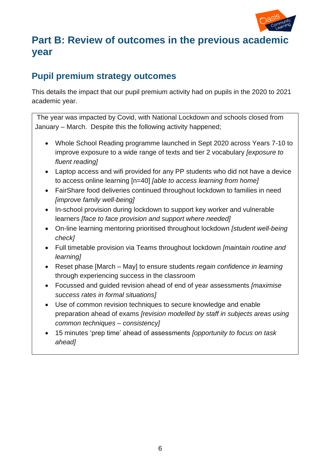

# **Part B: Review of outcomes in the previous academic year**

### **Pupil premium strategy outcomes**

This details the impact that our pupil premium activity had on pupils in the 2020 to 2021 academic year.

The year was impacted by Covid, with National Lockdown and schools closed from January – March. Despite this the following activity happened;

- Whole School Reading programme launched in Sept 2020 across Years 7-10 to improve exposure to a wide range of texts and tier 2 vocabulary *[exposure to fluent reading]*
- Laptop access and wifi provided for any PP students who did not have a device to access online learning [n=40] *[able to access learning from home]*
- FairShare food deliveries continued throughout lockdown to families in need *[improve family well-being]*
- In-school provision during lockdown to support key worker and vulnerable learners *[face to face provision and support where needed]*
- On-line learning mentoring prioritised throughout lockdown *[student well-being check]*
- Full timetable provision via Teams throughout lockdown *[maintain routine and learning]*
- Reset phase [March May] to ensure students *regain confidence in learning* through experiencing success in the classroom
- Focussed and guided revision ahead of end of year assessments *[maximise success rates in formal situations]*
- Use of common revision techniques to secure knowledge and enable preparation ahead of exams *[revision modelled by staff in subjects areas using common techniques – consistency]*
- 15 minutes 'prep time' ahead of assessments *[opportunity to focus on task ahead]*